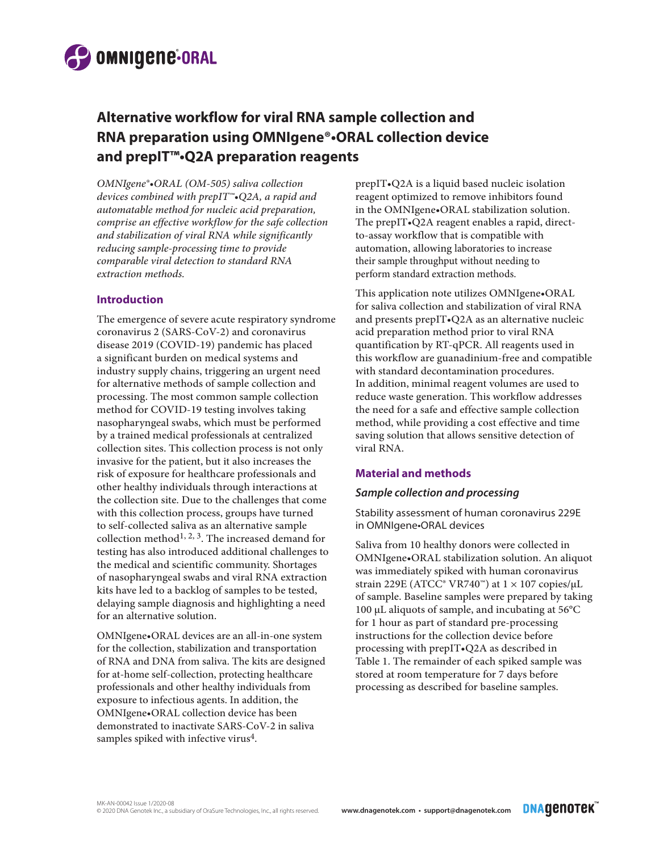

# **Alternative workflow for viral RNA sample collection and RNA preparation using OMNIgene®•ORAL collection device and prepIT™•Q2A preparation reagents**

*OMNIgene®•ORAL (OM-505) saliva collection devices combined with prepIT™•Q2A, a rapid and automatable method for nucleic acid preparation, comprise an effective workflow for the safe collection and stabilization of viral RNA while significantly reducing sample-processing time to provide comparable viral detection to standard RNA extraction methods.*

### **Introduction**

The emergence of severe acute respiratory syndrome coronavirus 2 (SARS-CoV-2) and coronavirus disease 2019 (COVID-19) pandemic has placed a significant burden on medical systems and industry supply chains, triggering an urgent need for alternative methods of sample collection and processing. The most common sample collection method for COVID-19 testing involves taking nasopharyngeal swabs, which must be performed by a trained medical professionals at centralized collection sites. This collection process is not only invasive for the patient, but it also increases the risk of exposure for healthcare professionals and other healthy individuals through interactions at the collection site. Due to the challenges that come with this collection process, groups have turned to self-collected saliva as an alternative sample collection method<sup>1, 2, 3</sup>. The increased demand for testing has also introduced additional challenges to the medical and scientific community. Shortages of nasopharyngeal swabs and viral RNA extraction kits have led to a backlog of samples to be tested, delaying sample diagnosis and highlighting a need for an alternative solution.

OMNIgene•ORAL devices are an all-in-one system for the collection, stabilization and transportation of RNA and DNA from saliva. The kits are designed for at-home self-collection, protecting healthcare professionals and other healthy individuals from exposure to infectious agents. In addition, the OMNIgene•ORAL collection device has been demonstrated to inactivate SARS-CoV-2 in saliva samples spiked with infective virus<sup>4</sup>.

prepIT•Q2A is a liquid based nucleic isolation reagent optimized to remove inhibitors found in the OMNIgene•ORAL stabilization solution. The prepIT•Q2A reagent enables a rapid, directto-assay workflow that is compatible with automation, allowing laboratories to increase their sample throughput without needing to perform standard extraction methods.

This application note utilizes OMNIgene•ORAL for saliva collection and stabilization of viral RNA and presents prepIT•Q2A as an alternative nucleic acid preparation method prior to viral RNA quantification by RT-qPCR. All reagents used in this workflow are guanadinium-free and compatible with standard decontamination procedures. In addition, minimal reagent volumes are used to reduce waste generation. This workflow addresses the need for a safe and effective sample collection method, while providing a cost effective and time saving solution that allows sensitive detection of viral RNA.

### **Material and methods**

#### *Sample collection and processing*

Stability assessment of human coronavirus 229E in OMNIgene•ORAL devices

Saliva from 10 healthy donors were collected in OMNIgene•ORAL stabilization solution. An aliquot was immediately spiked with human coronavirus strain 229E (ATCC® VR740™) at  $1 \times 107$  copies/µL of sample. Baseline samples were prepared by taking 100 µL aliquots of sample, and incubating at 56°C for 1 hour as part of standard pre-processing instructions for the collection device before processing with prepIT•Q2A as described in Table 1. The remainder of each spiked sample was stored at room temperature for 7 days before processing as described for baseline samples.

**DNAQENOTEK**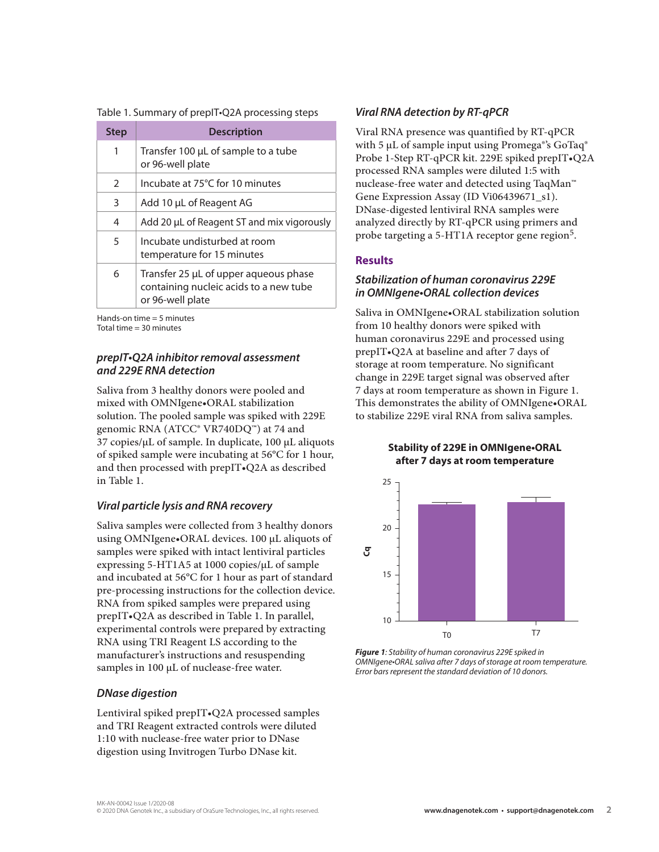Table 1. Summary of prepIT•Q2A processing steps

| <b>Step</b> | <b>Description</b>                                                                                  |
|-------------|-----------------------------------------------------------------------------------------------------|
| 1           | Transfer 100 µL of sample to a tube<br>or 96-well plate                                             |
| 2           | Incubate at 75°C for 10 minutes                                                                     |
| 3           | Add 10 µL of Reagent AG                                                                             |
| 4           | Add 20 µL of Reagent ST and mix vigorously                                                          |
| 5           | Incubate undisturbed at room<br>temperature for 15 minutes                                          |
| 6           | Transfer 25 µL of upper aqueous phase<br>containing nucleic acids to a new tube<br>or 96-well plate |

Hands-on time = 5 minutes Total time = 30 minutes

### *prepIT•Q2A inhibitor removal assessment and 229E RNA detection*

Saliva from 3 healthy donors were pooled and mixed with OMNIgene•ORAL stabilization solution. The pooled sample was spiked with 229E genomic RNA (ATCC® VR740DQ™) at 74 and 37 copies/µL of sample. In duplicate, 100 µL aliquots of spiked sample were incubating at 56°C for 1 hour, and then processed with prepIT•Q2A as described in Table 1.

### *Viral particle lysis and RNA recovery*

Saliva samples were collected from 3 healthy donors using OMNIgene•ORAL devices. 100 µL aliquots of samples were spiked with intact lentiviral particles expressing 5-HT1A5 at 1000 copies/µL of sample and incubated at 56°C for 1 hour as part of standard pre-processing instructions for the collection device. RNA from spiked samples were prepared using prepIT•Q2A as described in Table 1. In parallel, experimental controls were prepared by extracting RNA using TRI Reagent LS according to the manufacturer's instructions and resuspending samples in 100 µL of nuclease-free water.

### *DNase digestion*

Lentiviral spiked prepIT•Q2A processed samples and TRI Reagent extracted controls were diluted 1:10 with nuclease-free water prior to DNase digestion using Invitrogen Turbo DNase kit.

### *Viral RNA detection by RT-qPCR*

Viral RNA presence was quantified by RT-qPCR with 5 μL of sample input using Promega<sup>®'</sup>s GoTaq<sup>®</sup> Probe 1-Step RT-qPCR kit. 229E spiked prepIT•Q2A processed RNA samples were diluted 1:5 with nuclease-free water and detected using TaqMan™ Gene Expression Assay (ID Vi06439671\_s1). DNase-digested lentiviral RNA samples were analyzed directly by RT-qPCR using primers and probe targeting a 5-HT1A receptor gene region<sup>5</sup>.

## **Results**

### *Stabilization of human coronavirus 229E in OMNIgene•ORAL collection devices*

Saliva in OMNIgene•ORAL stabilization solution from 10 healthy donors were spiked with human coronavirus 229E and processed using prepIT•Q2A at baseline and after 7 days of storage at room temperature. No significant change in 229E target signal was observed after 7 days at room temperature as shown in Figure 1. This demonstrates the ability of OMNIgene•ORAL to stabilize 229E viral RNA from saliva samples.

> **Stability of 229E in OMNIgene•ORAL after 7 days at room temperature**



*Figure 1: Stability of human coronavirus 229E spiked in OMNIgene•ORAL saliva after 7 days of storage at room temperature. Error bars represent the standard deviation of 10 donors.*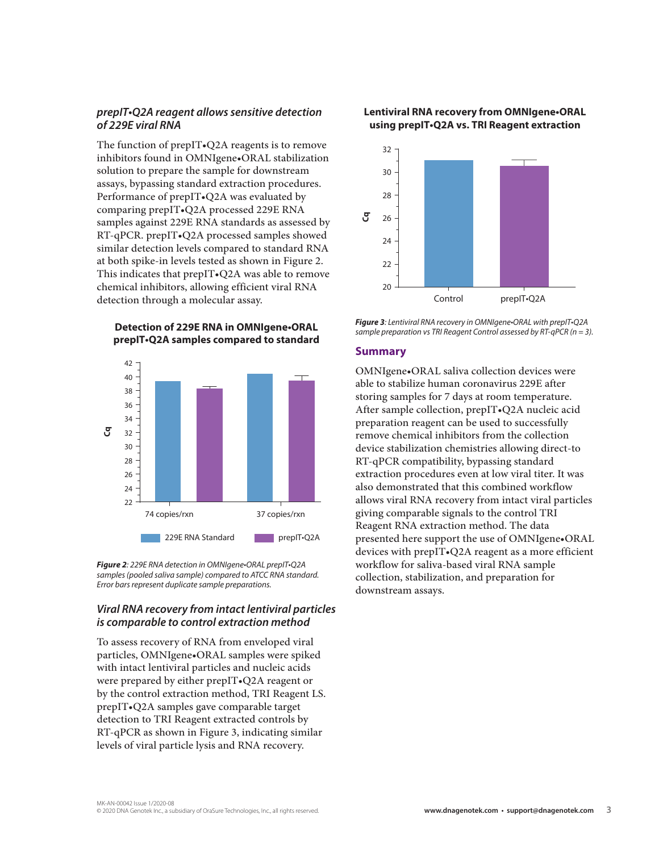### *prepIT•Q2A reagent allows sensitive detection of 229E viral RNA*

The function of prepIT•Q2A reagents is to remove inhibitors found in OMNIgene•ORAL stabilization solution to prepare the sample for downstream assays, bypassing standard extraction procedures. Performance of prepIT•Q2A was evaluated by comparing prepIT•Q2A processed 229E RNA samples against 229E RNA standards as assessed by RT-qPCR. prepIT•Q2A processed samples showed similar detection levels compared to standard RNA at both spike-in levels tested as shown in Figure 2. This indicates that prepIT•Q2A was able to remove chemical inhibitors, allowing efficient viral RNA detection through a molecular assay.

**Detection of 229E RNA in OMNIgene•ORAL prepIT•Q2A samples compared to standard**



*Figure 2: 229E RNA detection in OMNIgene•ORAL prepIT•Q2A samples (pooled saliva sample) compared to ATCC RNA standard. Error bars represent duplicate sample preparations.*

### *Viral RNA recovery from intact lentiviral particles is comparable to control extraction method*

To assess recovery of RNA from enveloped viral particles, OMNIgene•ORAL samples were spiked with intact lentiviral particles and nucleic acids were prepared by either prepIT•Q2A reagent or by the control extraction method, TRI Reagent LS. prepIT•Q2A samples gave comparable target detection to TRI Reagent extracted controls by RT-qPCR as shown in Figure 3, indicating similar levels of viral particle lysis and RNA recovery.

### **Lentiviral RNA recovery from OMNIgene•ORAL using prepIT•Q2A vs. TRI Reagent extraction**



*Figure 3: Lentiviral RNA recovery in OMNIgene•ORAL with prepIT•Q2A sample preparation vs TRI Reagent Control assessed by RT-qPCR (n = 3).*

#### **Summary**

OMNIgene•ORAL saliva collection devices were able to stabilize human coronavirus 229E after storing samples for 7 days at room temperature. After sample collection, prepIT•Q2A nucleic acid preparation reagent can be used to successfully remove chemical inhibitors from the collection device stabilization chemistries allowing direct-to RT-qPCR compatibility, bypassing standard extraction procedures even at low viral titer. It was also demonstrated that this combined workflow allows viral RNA recovery from intact viral particles giving comparable signals to the control TRI Reagent RNA extraction method. The data presented here support the use of OMNIgene•ORAL devices with prepIT•Q2A reagent as a more efficient workflow for saliva-based viral RNA sample collection, stabilization, and preparation for downstream assays.